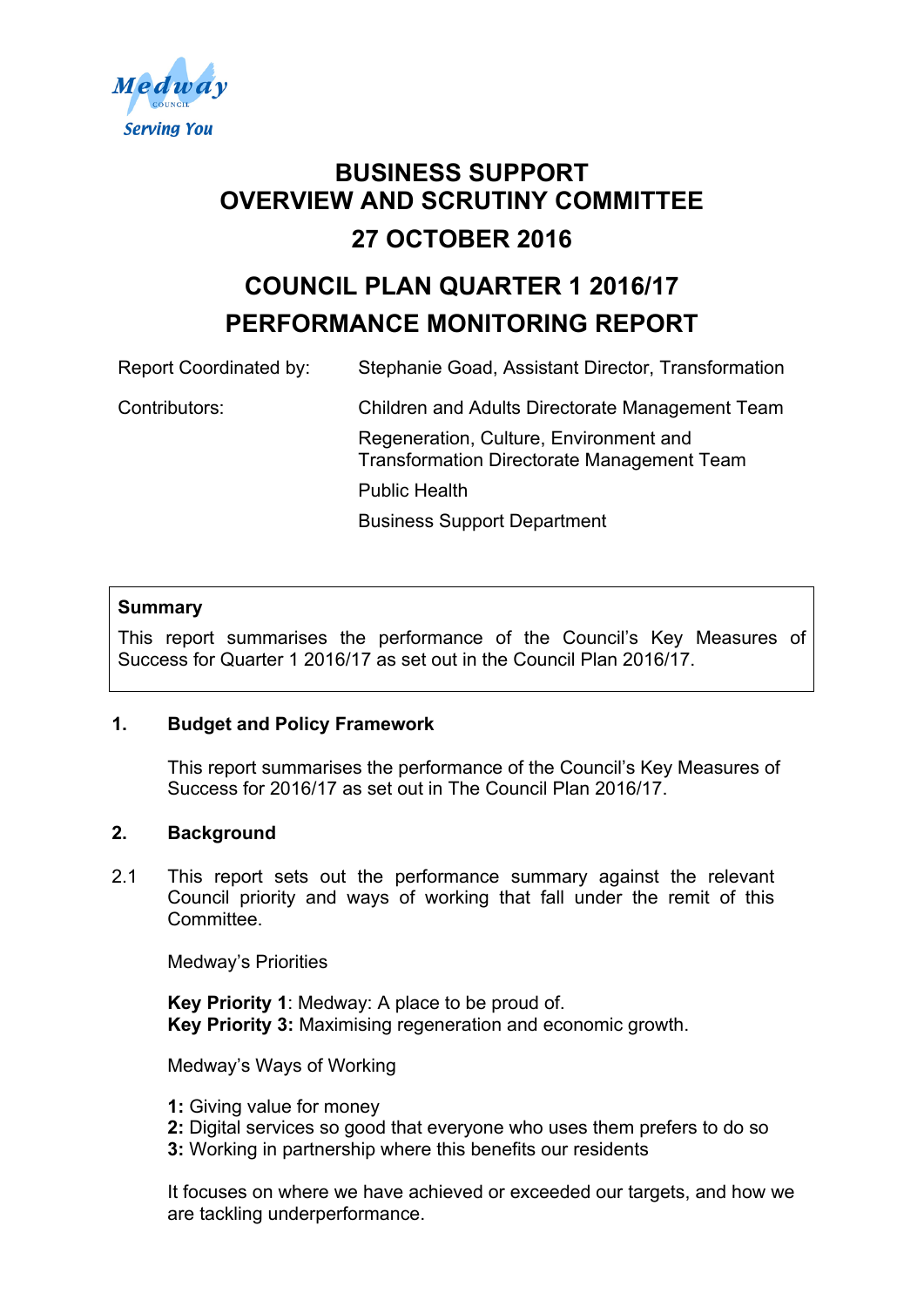

# **BUSINESS SUPPORT OVERVIEW AND SCRUTINY COMMITTEE 27 OCTOBER 2016**

# **COUNCIL PLAN QUARTER 1 2016/17 PERFORMANCE MONITORING REPORT**

Report Coordinated by: Stephanie Goad, Assistant Director, Transformation Contributors: Children and Adults Directorate Management Team Regeneration, Culture, Environment and Transformation Directorate Management Team Public Health Business Support Department

# **Summary**

This report summarises the performance of the Council's Key Measures of Success for Quarter 1 2016/17 as set out in the Council Plan 2016/17.

#### **1. Budget and Policy Framework**

This report summarises the performance of the Council's Key Measures of Success for 2016/17 as set out in The Council Plan 2016/17.

#### **2. Background**

2.1 This report sets out the performance summary against the relevant Council priority and ways of working that fall under the remit of this Committee.

Medway's Priorities

**Key Priority 1**: Medway: A place to be proud of. **Key Priority 3:** Maximising regeneration and economic growth.

Medway's Ways of Working

- **1:** Giving value for money
- **2:** Digital services so good that everyone who uses them prefers to do so
- **3:** Working in partnership where this benefits our residents

It focuses on where we have achieved or exceeded our targets, and how we are tackling underperformance.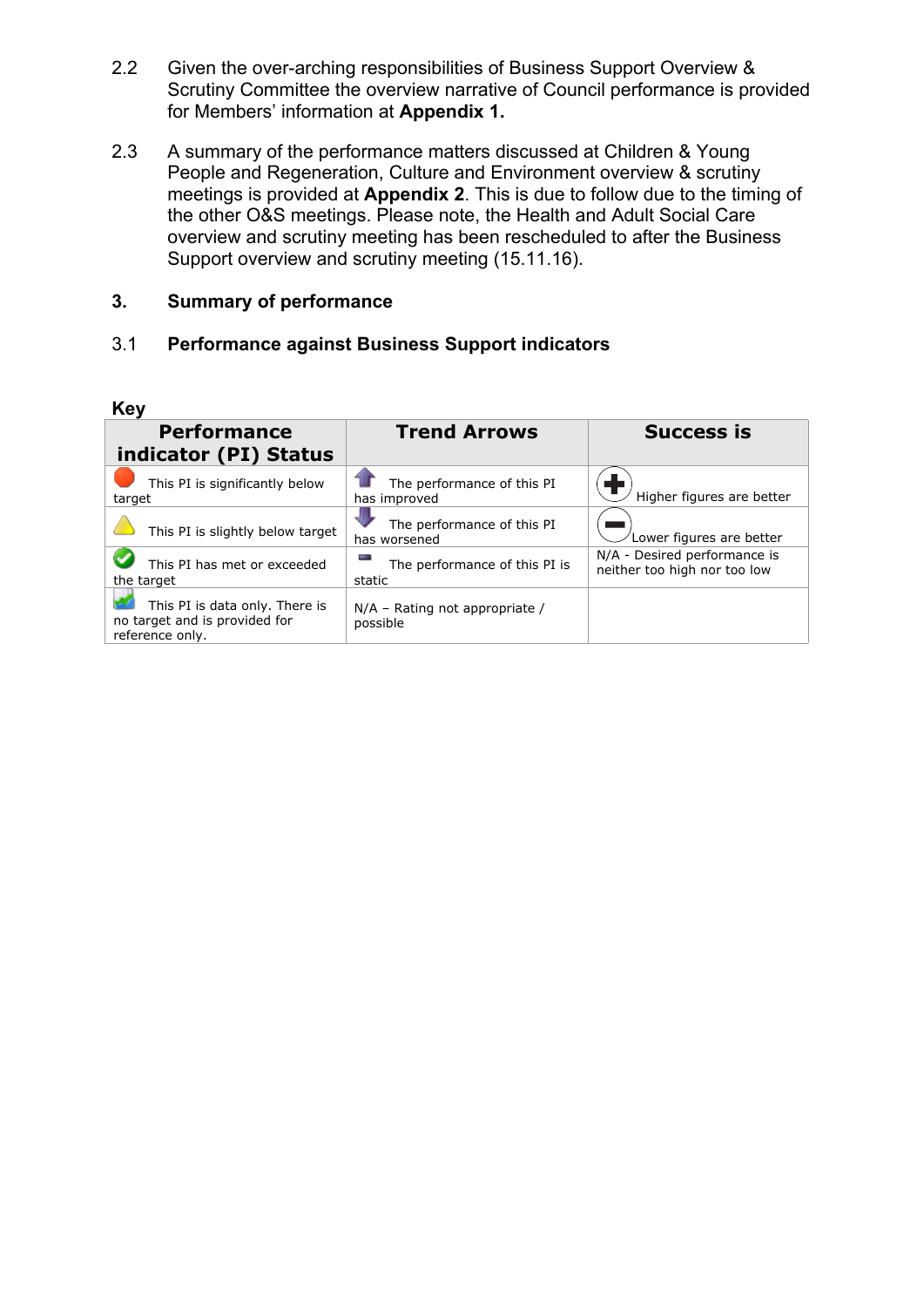- 2.2 Given the over-arching responsibilities of Business Support Overview & Scrutiny Committee the overview narrative of Council performance is provided for Members' information at **Appendix 1.**
- 2.3 A summary of the performance matters discussed at Children & Young People and Regeneration, Culture and Environment overview & scrutiny meetings is provided at **Appendix 2**. This is due to follow due to the timing of the other O&S meetings. Please note, the Health and Adult Social Care overview and scrutiny meeting has been rescheduled to after the Business Support overview and scrutiny meeting (15.11.16).

# **3. Summary of performance**

# 3.1 **Performance against Business Support indicators**

| <b>Key</b>                                                                         |                                              |                                                              |
|------------------------------------------------------------------------------------|----------------------------------------------|--------------------------------------------------------------|
| <b>Performance</b><br>indicator (PI) Status                                        | <b>Trend Arrows</b>                          | <b>Success is</b>                                            |
| This PI is significantly below<br>target                                           | The performance of this PI<br>has improved   | Higher figures are better                                    |
| This PI is slightly below target                                                   | The performance of this PI<br>has worsened   | Lower figures are better                                     |
| This PI has met or exceeded<br>the target                                          | The performance of this PI is<br>static      | N/A - Desired performance is<br>neither too high nor too low |
| This PI is data only. There is<br>no target and is provided for<br>reference only. | $N/A$ – Rating not appropriate /<br>possible |                                                              |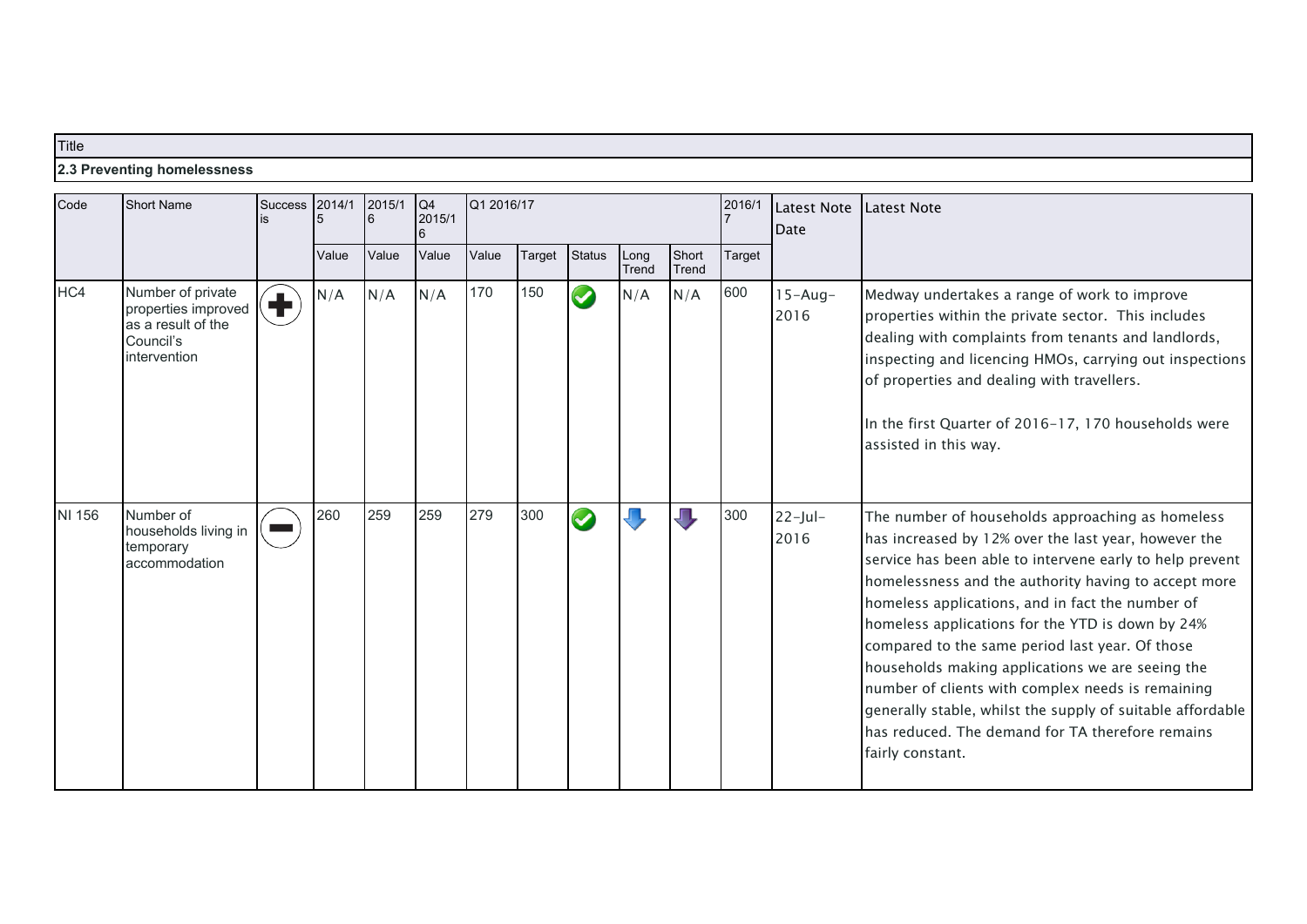# **Title 2.3 Preventing homelessness**

| Code   | Short Name                                                                                  | <b>Success</b>                        | 2014/1<br>5 | 2015/1<br>l6 | Q4<br>2015/1 |       | Q1 2016/17 |                      | 2016/1        | <b>Latest Note</b><br>Date | Latest Note |                     |                                                                                                                                                                                                                                                                                                                                                                                                                                                                                                                                                                                                                                        |
|--------|---------------------------------------------------------------------------------------------|---------------------------------------|-------------|--------------|--------------|-------|------------|----------------------|---------------|----------------------------|-------------|---------------------|----------------------------------------------------------------------------------------------------------------------------------------------------------------------------------------------------------------------------------------------------------------------------------------------------------------------------------------------------------------------------------------------------------------------------------------------------------------------------------------------------------------------------------------------------------------------------------------------------------------------------------------|
|        |                                                                                             |                                       | Value       | Value        | Value        | Value | Target     | <b>Status</b>        | Long<br>Trend | Short<br>Trend             | Target      |                     |                                                                                                                                                                                                                                                                                                                                                                                                                                                                                                                                                                                                                                        |
| HC4    | Number of private<br>properties improved<br>as a result of the<br>Council's<br>intervention | $\left( \color{red}\mathbf{+}\right)$ | N/A         | N/A          | N/A          | 170   | 150        | $\blacktriangledown$ | N/A           | N/A                        | 600         | $15 - Aug-$<br>2016 | Medway undertakes a range of work to improve<br>properties within the private sector. This includes<br>dealing with complaints from tenants and landlords,<br>inspecting and licencing HMOs, carrying out inspections<br>of properties and dealing with travellers.<br>In the first Quarter of 2016-17, 170 households were<br>assisted in this way.                                                                                                                                                                                                                                                                                   |
| NI 156 | Number of<br>households living in<br>temporary<br>accommodation                             |                                       | 260         | 259          | 259          | 279   | 300        |                      |               | JЦ                         | 300         | $22$ -Jul-<br>2016  | The number of households approaching as homeless<br>has increased by 12% over the last year, however the<br>service has been able to intervene early to help prevent<br>homelessness and the authority having to accept more<br>homeless applications, and in fact the number of<br>homeless applications for the YTD is down by 24%<br>compared to the same period last year. Of those<br>households making applications we are seeing the<br>number of clients with complex needs is remaining<br>generally stable, whilst the supply of suitable affordable<br>has reduced. The demand for TA therefore remains<br>fairly constant. |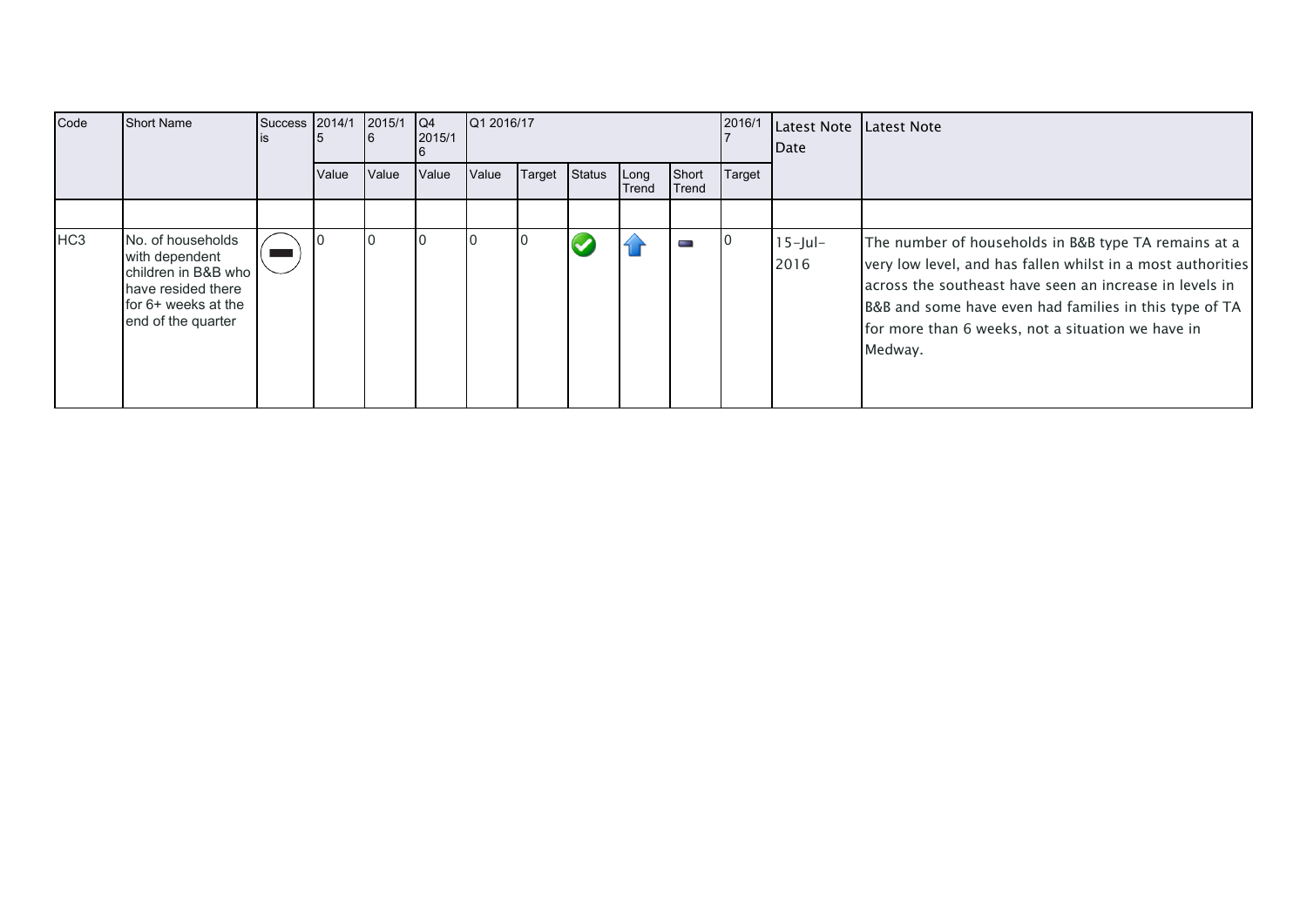| Code            | <b>Short Name</b>                                                                                                               | Success | 2014/1 | 2015/1 | $\overline{Q4}$<br>2015/1 |       | Q1 2016/17 |        |               | 2016/1         | Latest Note Latest Note<br><b>IDate</b> |                    |                                                                                                                                                                                                                                                                                                          |
|-----------------|---------------------------------------------------------------------------------------------------------------------------------|---------|--------|--------|---------------------------|-------|------------|--------|---------------|----------------|-----------------------------------------|--------------------|----------------------------------------------------------------------------------------------------------------------------------------------------------------------------------------------------------------------------------------------------------------------------------------------------------|
|                 |                                                                                                                                 |         | Value  | Value  | Value                     | Value | Target     | Status | Long<br>Trend | Short<br>Trend | Target                                  |                    |                                                                                                                                                                                                                                                                                                          |
|                 |                                                                                                                                 |         |        |        |                           |       |            |        |               |                |                                         |                    |                                                                                                                                                                                                                                                                                                          |
| HC <sub>3</sub> | INo. of households<br>with dependent<br>children in B&B who<br>Thave resided there<br>for 6+ weeks at the<br>end of the quarter |         |        |        |                           |       |            |        |               | <b>State</b>   |                                         | $15$ -Jul-<br>2016 | The number of households in B&B type TA remains at a<br>very low level, and has fallen whilst in a most authorities<br>across the southeast have seen an increase in levels in<br>B&B and some have even had families in this type of TA<br>for more than 6 weeks, not a situation we have in<br>Medway. |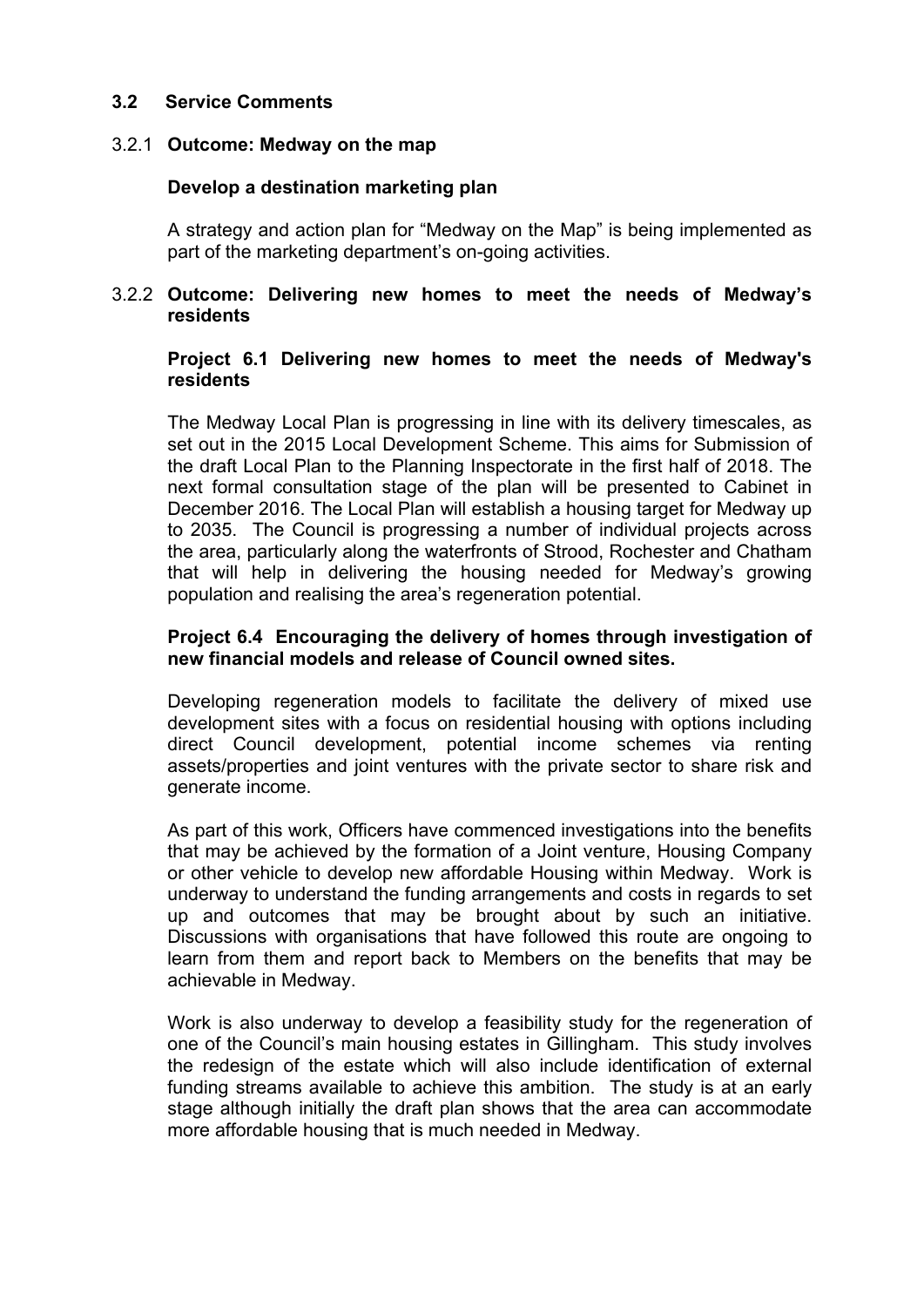#### **3.2 Service Comments**

#### 3.2.1 **Outcome: Medway on the map**

#### **Develop a destination marketing plan**

A strategy and action plan for "Medway on the Map" is being implemented as part of the marketing department's on-going activities.

#### 3.2.2 **Outcome: Delivering new homes to meet the needs of Medway's residents**

#### **Project 6.1 Delivering new homes to meet the needs of Medway's residents**

The Medway Local Plan is progressing in line with its delivery timescales, as set out in the 2015 Local Development Scheme. This aims for Submission of the draft Local Plan to the Planning Inspectorate in the first half of 2018. The next formal consultation stage of the plan will be presented to Cabinet in December 2016. The Local Plan will establish a housing target for Medway up to 2035. The Council is progressing a number of individual projects across the area, particularly along the waterfronts of Strood, Rochester and Chatham that will help in delivering the housing needed for Medway's growing population and realising the area's regeneration potential.

#### **Project 6.4 Encouraging the delivery of homes through investigation of new financial models and release of Council owned sites.**

Developing regeneration models to facilitate the delivery of mixed use development sites with a focus on residential housing with options including direct Council development, potential income schemes via renting assets/properties and joint ventures with the private sector to share risk and generate income.

As part of this work, Officers have commenced investigations into the benefits that may be achieved by the formation of a Joint venture, Housing Company or other vehicle to develop new affordable Housing within Medway. Work is underway to understand the funding arrangements and costs in regards to set up and outcomes that may be brought about by such an initiative. Discussions with organisations that have followed this route are ongoing to learn from them and report back to Members on the benefits that may be achievable in Medway.

Work is also underway to develop a feasibility study for the regeneration of one of the Council's main housing estates in Gillingham. This study involves the redesign of the estate which will also include identification of external funding streams available to achieve this ambition. The study is at an early stage although initially the draft plan shows that the area can accommodate more affordable housing that is much needed in Medway.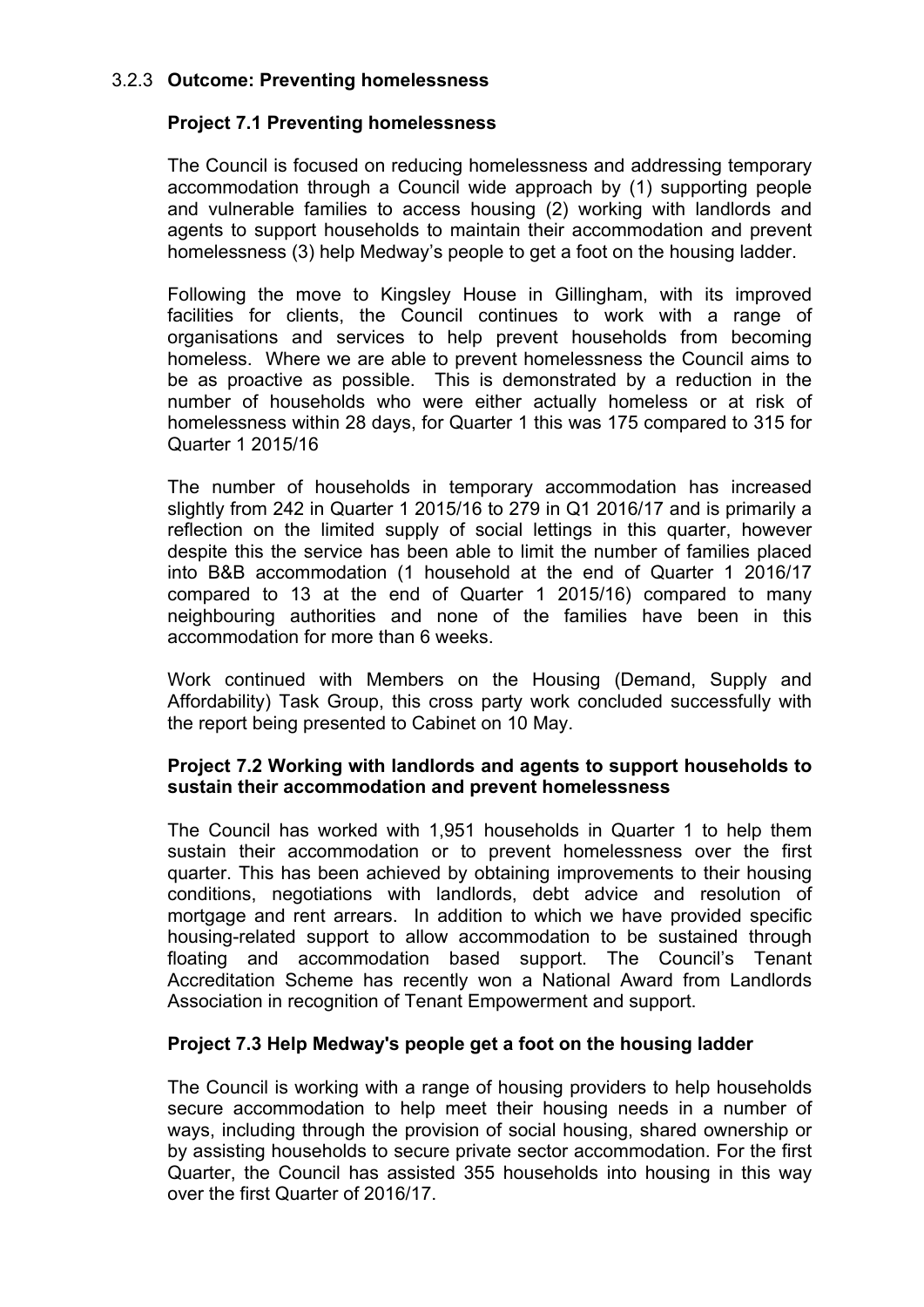# 3.2.3 **Outcome: Preventing homelessness**

#### **Project 7.1 Preventing homelessness**

The Council is focused on reducing homelessness and addressing temporary accommodation through a Council wide approach by (1) supporting people and vulnerable families to access housing (2) working with landlords and agents to support households to maintain their accommodation and prevent homelessness (3) help Medway's people to get a foot on the housing ladder.

Following the move to Kingsley House in Gillingham, with its improved facilities for clients, the Council continues to work with a range of organisations and services to help prevent households from becoming homeless. Where we are able to prevent homelessness the Council aims to be as proactive as possible. This is demonstrated by a reduction in the number of households who were either actually homeless or at risk of homelessness within 28 days, for Quarter 1 this was 175 compared to 315 for Quarter 1 2015/16

The number of households in temporary accommodation has increased slightly from 242 in Quarter 1 2015/16 to 279 in Q1 2016/17 and is primarily a reflection on the limited supply of social lettings in this quarter, however despite this the service has been able to limit the number of families placed into B&B accommodation (1 household at the end of Quarter 1 2016/17 compared to 13 at the end of Quarter 1 2015/16) compared to many neighbouring authorities and none of the families have been in this accommodation for more than 6 weeks.

Work continued with Members on the Housing (Demand, Supply and Affordability) Task Group, this cross party work concluded successfully with the report being presented to Cabinet on 10 May.

#### **Project 7.2 Working with landlords and agents to support households to sustain their accommodation and prevent homelessness**

The Council has worked with 1,951 households in Quarter 1 to help them sustain their accommodation or to prevent homelessness over the first quarter. This has been achieved by obtaining improvements to their housing conditions, negotiations with landlords, debt advice and resolution of mortgage and rent arrears. In addition to which we have provided specific housing-related support to allow accommodation to be sustained through floating and accommodation based support. The Council's Tenant Accreditation Scheme has recently won a National Award from Landlords Association in recognition of Tenant Empowerment and support.

#### **Project 7.3 Help Medway's people get a foot on the housing ladder**

The Council is working with a range of housing providers to help households secure accommodation to help meet their housing needs in a number of ways, including through the provision of social housing, shared ownership or by assisting households to secure private sector accommodation. For the first Quarter, the Council has assisted 355 households into housing in this way over the first Quarter of 2016/17.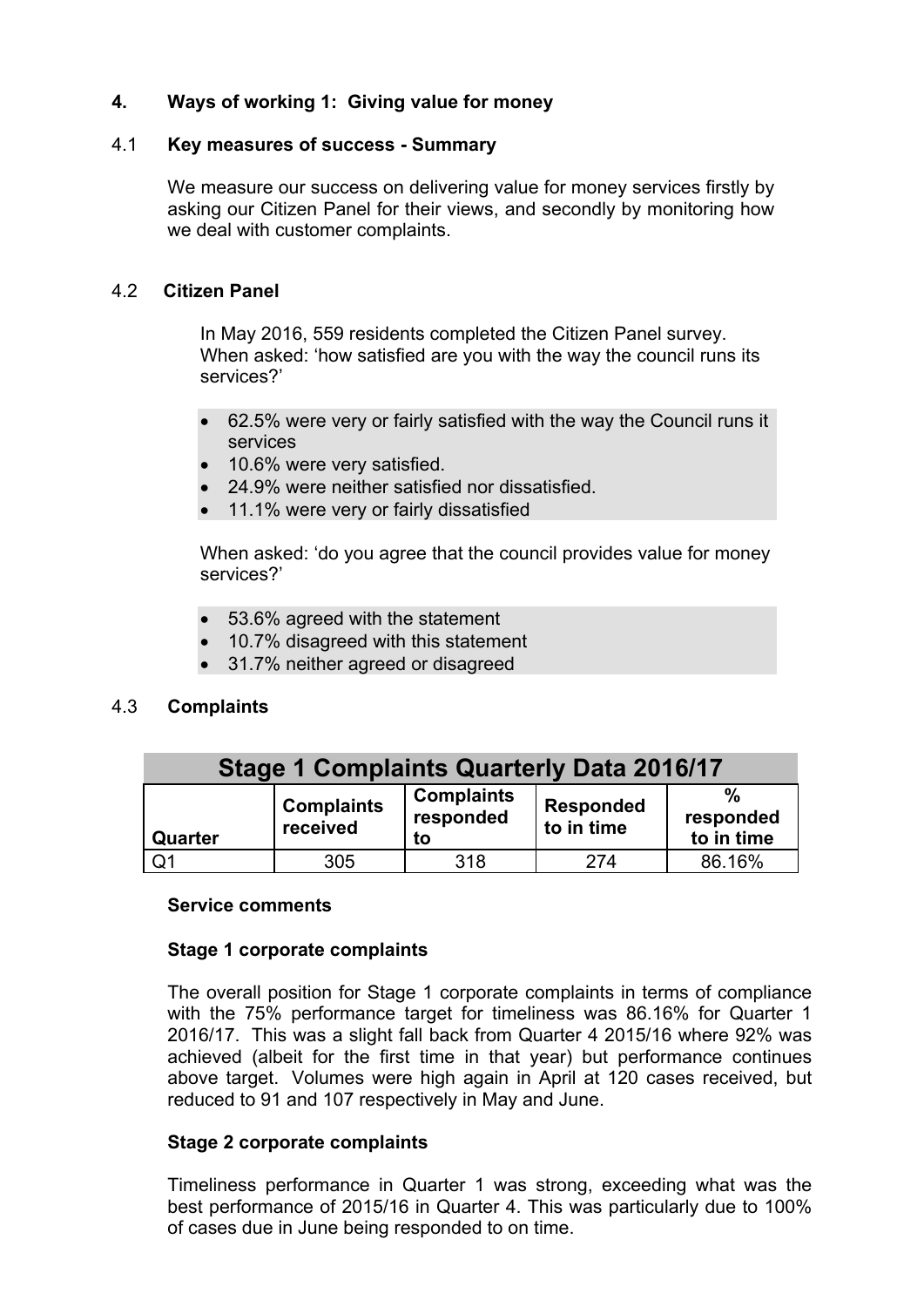# **4. Ways of working 1: Giving value for money**

#### 4.1 **Key measures of success - Summary**

We measure our success on delivering value for money services firstly by asking our Citizen Panel for their views, and secondly by monitoring how we deal with customer complaints.

#### 4.2 **Citizen Panel**

In May 2016, 559 residents completed the Citizen Panel survey. When asked: 'how satisfied are you with the way the council runs its services?'

- 62.5% were very or fairly satisfied with the way the Council runs it services
- 10.6% were very satisfied.
- 24.9% were neither satisfied nor dissatisfied.
- 11.1% were very or fairly dissatisfied

When asked: 'do you agree that the council provides value for money services?'

- 53.6% agreed with the statement
- 10.7% disagreed with this statement
- 31.7% neither agreed or disagreed

#### 4.3 **Complaints**

| <b>Stage 1 Complaints Quarterly Data 2016/17</b> |                               |                                      |                                |                         |  |  |  |  |
|--------------------------------------------------|-------------------------------|--------------------------------------|--------------------------------|-------------------------|--|--|--|--|
| Quarter                                          | <b>Complaints</b><br>received | <b>Complaints</b><br>responded<br>to | <b>Responded</b><br>to in time | responded<br>to in time |  |  |  |  |
| Q <sub>1</sub>                                   | 305                           | 318                                  | 274                            | 86.16%                  |  |  |  |  |

#### **Service comments**

#### **Stage 1 corporate complaints**

The overall position for Stage 1 corporate complaints in terms of compliance with the 75% performance target for timeliness was 86.16% for Quarter 1 2016/17. This was a slight fall back from Quarter 4 2015/16 where 92% was achieved (albeit for the first time in that year) but performance continues above target. Volumes were high again in April at 120 cases received, but reduced to 91 and 107 respectively in May and June.

#### **Stage 2 corporate complaints**

Timeliness performance in Quarter 1 was strong, exceeding what was the best performance of 2015/16 in Quarter 4. This was particularly due to 100% of cases due in June being responded to on time.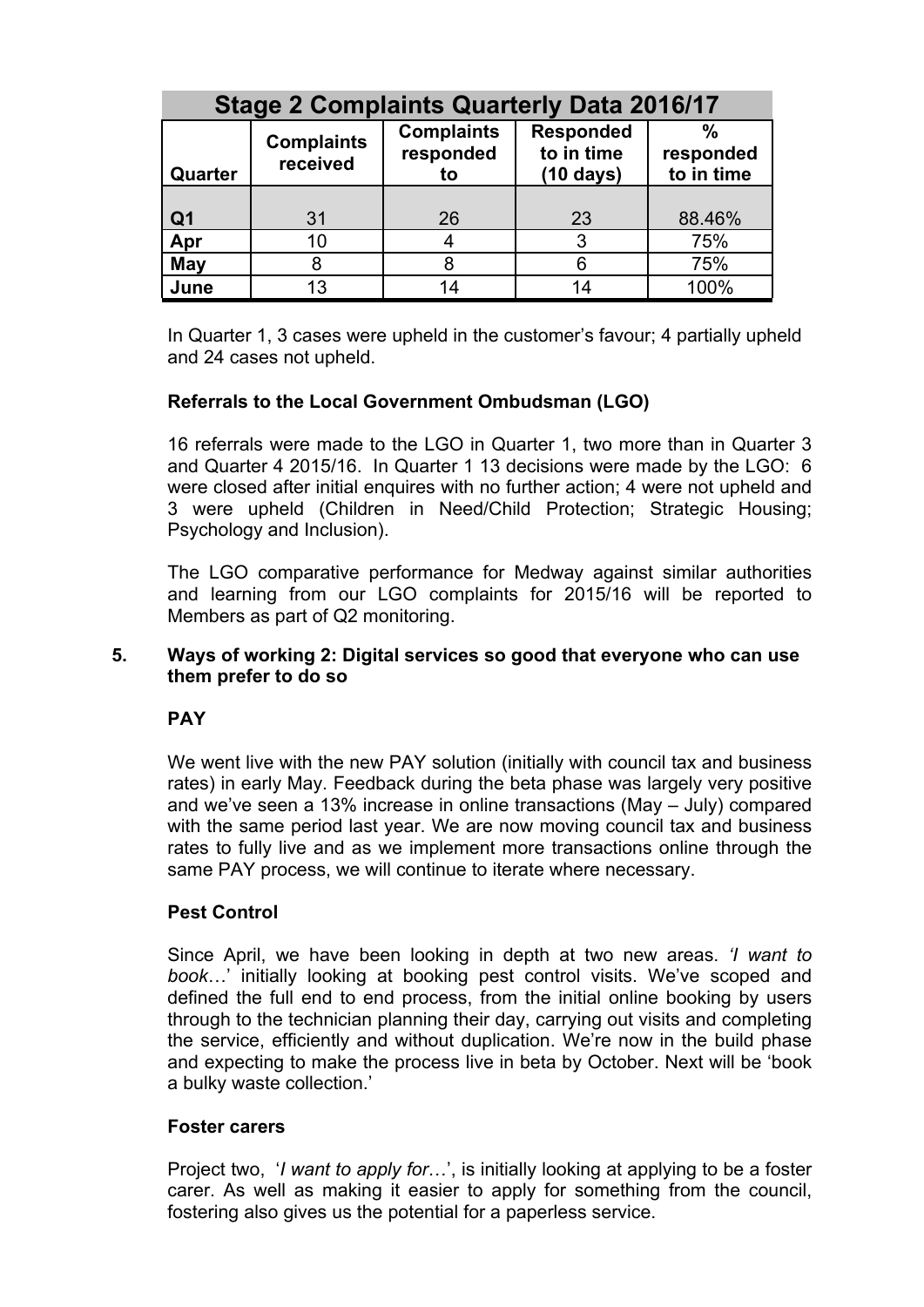| <b>Stage 2 Complaints Quarterly Data 2016/17</b> |                               |                                      |                                                       |                                          |  |  |  |  |
|--------------------------------------------------|-------------------------------|--------------------------------------|-------------------------------------------------------|------------------------------------------|--|--|--|--|
| Quarter                                          | <b>Complaints</b><br>received | <b>Complaints</b><br>responded<br>to | <b>Responded</b><br>to in time<br>$(10 \text{ days})$ | $\frac{0}{0}$<br>responded<br>to in time |  |  |  |  |
|                                                  |                               |                                      |                                                       |                                          |  |  |  |  |
| Q <sub>1</sub>                                   | 31                            | 26                                   | 23                                                    | 88.46%                                   |  |  |  |  |
| Apr                                              | 10                            |                                      | 3                                                     | 75%                                      |  |  |  |  |
| May                                              | 8                             | 8                                    |                                                       | 75%                                      |  |  |  |  |
| June                                             | 13                            | 14                                   |                                                       | 100%                                     |  |  |  |  |

In Quarter 1, 3 cases were upheld in the customer's favour; 4 partially upheld and 24 cases not upheld.

# **Referrals to the Local Government Ombudsman (LGO)**

16 referrals were made to the LGO in Quarter 1, two more than in Quarter 3 and Quarter 4 2015/16. In Quarter 1 13 decisions were made by the LGO: 6 were closed after initial enquires with no further action; 4 were not upheld and 3 were upheld (Children in Need/Child Protection; Strategic Housing; Psychology and Inclusion).

The LGO comparative performance for Medway against similar authorities and learning from our LGO complaints for 2015/16 will be reported to Members as part of Q2 monitoring.

#### **5. Ways of working 2: Digital services so good that everyone who can use them prefer to do so**

#### **PAY**

We went live with the new PAY solution (initially with council tax and business rates) in early May. Feedback during the beta phase was largely very positive and we've seen a 13% increase in online transactions (May – July) compared with the same period last year. We are now moving council tax and business rates to fully live and as we implement more transactions online through the same PAY process, we will continue to iterate where necessary.

#### **Pest Control**

Since April, we have been looking in depth at two new areas. *'I want to book*…' initially looking at booking pest control visits. We've scoped and defined the full end to end process, from the initial online booking by users through to the technician planning their day, carrying out visits and completing the service, efficiently and without duplication. We're now in the build phase and expecting to make the process live in beta by October. Next will be 'book a bulky waste collection.'

#### **Foster carers**

Project two, '*I want to apply for*…', is initially looking at applying to be a foster carer. As well as making it easier to apply for something from the council, fostering also gives us the potential for a paperless service.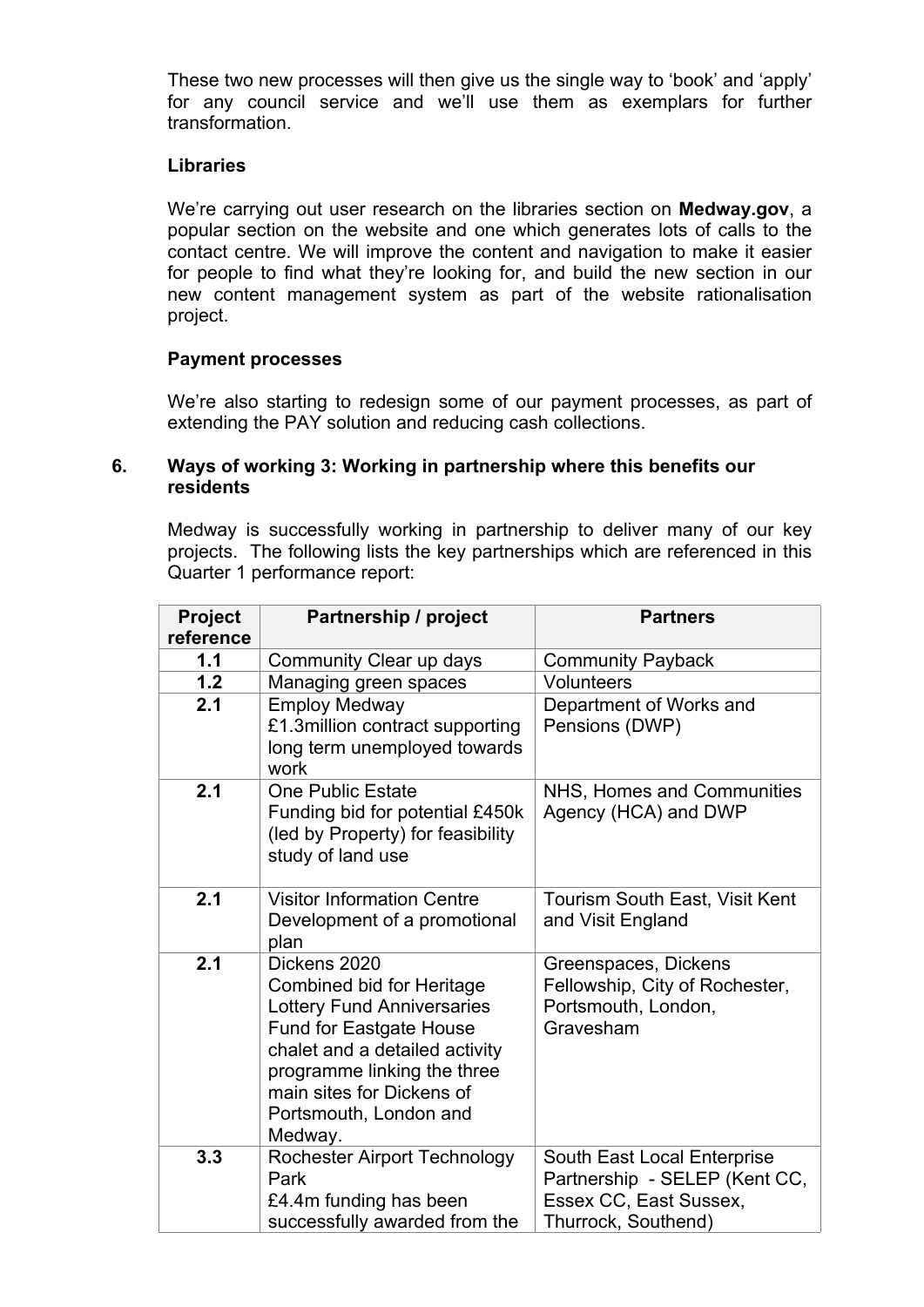These two new processes will then give us the single way to 'book' and 'apply' for any council service and we'll use them as exemplars for further transformation.

#### **Libraries**

We're carrying out user research on the libraries section on **Medway.gov**, a popular section on the website and one which generates lots of calls to the contact centre. We will improve the content and navigation to make it easier for people to find what they're looking for, and build the new section in our new content management system as part of the website rationalisation project.

#### **Payment processes**

We're also starting to redesign some of our payment processes, as part of extending the PAY solution and reducing cash collections.

#### **6. Ways of working 3: Working in partnership where this benefits our residents**

Medway is successfully working in partnership to deliver many of our key projects. The following lists the key partnerships which are referenced in this Quarter 1 performance report:

| <b>Project</b><br>reference | Partnership / project                                                                                                                                                                                                                                      | <b>Partners</b>                                                                                               |
|-----------------------------|------------------------------------------------------------------------------------------------------------------------------------------------------------------------------------------------------------------------------------------------------------|---------------------------------------------------------------------------------------------------------------|
| 1.1                         | Community Clear up days                                                                                                                                                                                                                                    | <b>Community Payback</b>                                                                                      |
| 1.2                         | Managing green spaces                                                                                                                                                                                                                                      | <b>Volunteers</b>                                                                                             |
| 2.1                         | <b>Employ Medway</b><br>£1.3million contract supporting<br>long term unemployed towards<br>work                                                                                                                                                            | Department of Works and<br>Pensions (DWP)                                                                     |
| 2.1                         | <b>One Public Estate</b><br>Funding bid for potential £450k<br>(led by Property) for feasibility<br>study of land use                                                                                                                                      | NHS, Homes and Communities<br>Agency (HCA) and DWP                                                            |
| 2.1                         | <b>Visitor Information Centre</b><br>Development of a promotional<br>plan                                                                                                                                                                                  | Tourism South East, Visit Kent<br>and Visit England                                                           |
| 2.1                         | Dickens 2020<br><b>Combined bid for Heritage</b><br><b>Lottery Fund Anniversaries</b><br><b>Fund for Eastgate House</b><br>chalet and a detailed activity<br>programme linking the three<br>main sites for Dickens of<br>Portsmouth, London and<br>Medway. | Greenspaces, Dickens<br>Fellowship, City of Rochester,<br>Portsmouth, London,<br>Gravesham                    |
| 3.3                         | <b>Rochester Airport Technology</b><br>Park<br>£4.4m funding has been<br>successfully awarded from the                                                                                                                                                     | South East Local Enterprise<br>Partnership - SELEP (Kent CC,<br>Essex CC, East Sussex,<br>Thurrock, Southend) |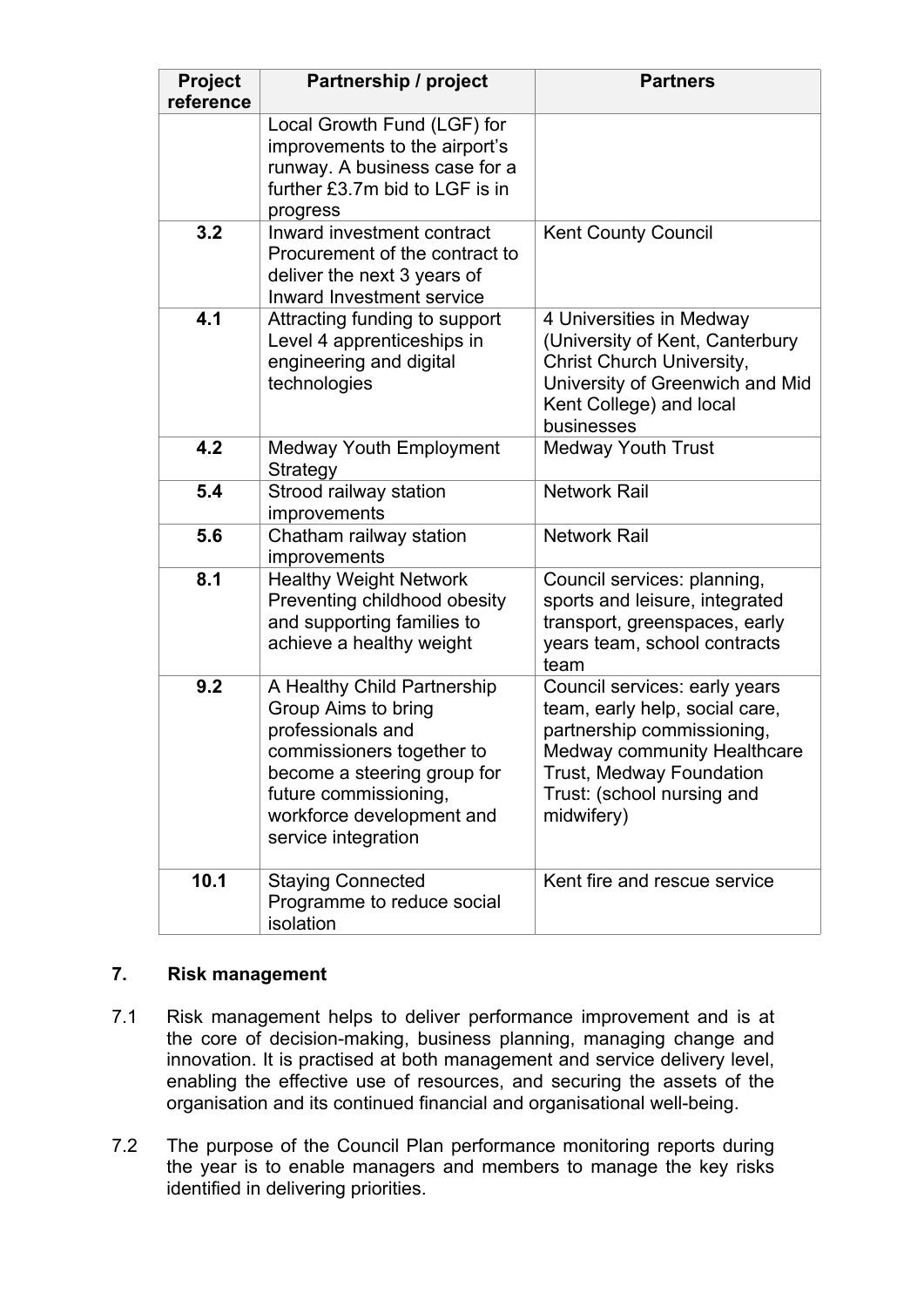| <b>Project</b><br>reference | Partnership / project                                                                                                                                                                                            | <b>Partners</b>                                                                                                                                                                                      |
|-----------------------------|------------------------------------------------------------------------------------------------------------------------------------------------------------------------------------------------------------------|------------------------------------------------------------------------------------------------------------------------------------------------------------------------------------------------------|
|                             | Local Growth Fund (LGF) for<br>improvements to the airport's<br>runway. A business case for a<br>further £3.7m bid to LGF is in<br>progress                                                                      |                                                                                                                                                                                                      |
| 3.2                         | Inward investment contract<br>Procurement of the contract to<br>deliver the next 3 years of<br><b>Inward Investment service</b>                                                                                  | <b>Kent County Council</b>                                                                                                                                                                           |
| 4.1                         | Attracting funding to support<br>Level 4 apprenticeships in<br>engineering and digital<br>technologies                                                                                                           | 4 Universities in Medway<br>(University of Kent, Canterbury<br><b>Christ Church University,</b><br>University of Greenwich and Mid<br>Kent College) and local<br>businesses                          |
| 4.2                         | <b>Medway Youth Employment</b><br>Strategy                                                                                                                                                                       | <b>Medway Youth Trust</b>                                                                                                                                                                            |
| 5.4                         | Strood railway station<br>improvements                                                                                                                                                                           | <b>Network Rail</b>                                                                                                                                                                                  |
| 5.6                         | Chatham railway station<br>improvements                                                                                                                                                                          | <b>Network Rail</b>                                                                                                                                                                                  |
| 8.1                         | <b>Healthy Weight Network</b><br>Preventing childhood obesity<br>and supporting families to<br>achieve a healthy weight                                                                                          | Council services: planning,<br>sports and leisure, integrated<br>transport, greenspaces, early<br>years team, school contracts<br>team                                                               |
| 9.2                         | A Healthy Child Partnership<br>Group Aims to bring<br>professionals and<br>commissioners together to<br>become a steering group for<br>future commissioning,<br>workforce development and<br>service integration | Council services: early years<br>team, early help, social care,<br>partnership commissioning,<br>Medway community Healthcare<br>Trust, Medway Foundation<br>Trust: (school nursing and<br>midwifery) |
| 10.1                        | <b>Staying Connected</b><br>Programme to reduce social<br>isolation                                                                                                                                              | Kent fire and rescue service                                                                                                                                                                         |

# **7. Risk management**

- 7.1 Risk management helps to deliver performance improvement and is at the core of decision-making, business planning, managing change and innovation. It is practised at both management and service delivery level, enabling the effective use of resources, and securing the assets of the organisation and its continued financial and organisational well-being.
- 7.2 The purpose of the Council Plan performance monitoring reports during the year is to enable managers and members to manage the key risks identified in delivering priorities.